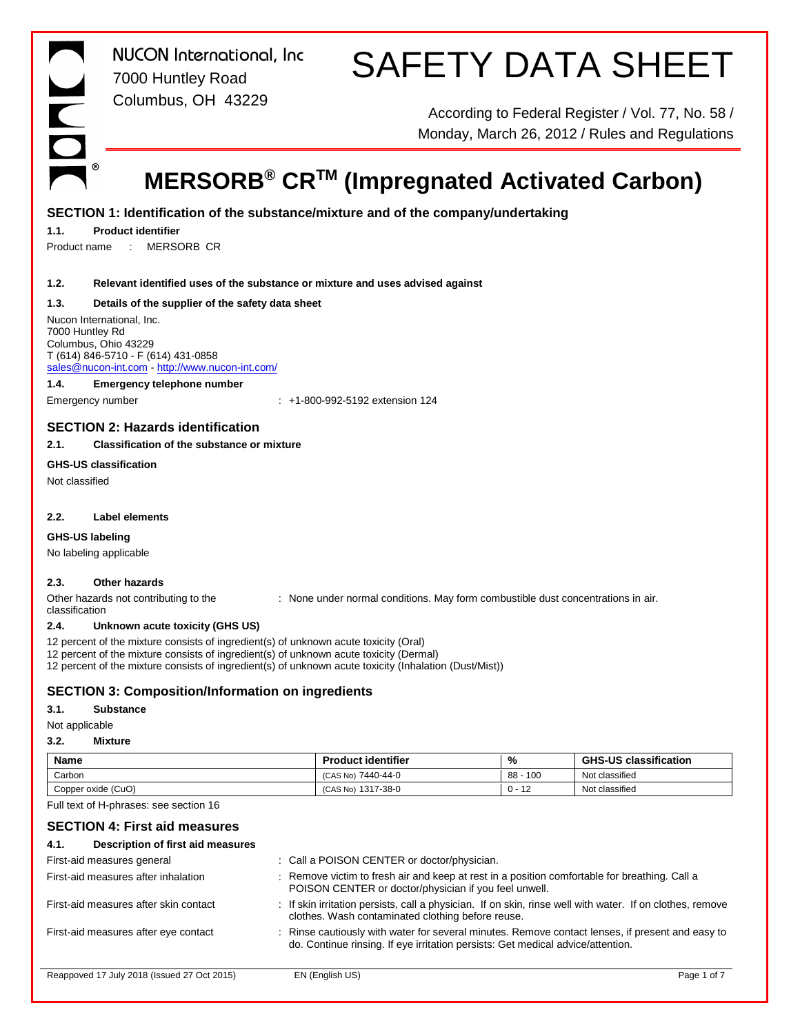

# SAFETY DATA SHEET

According to Federal Register / Vol. 77, No. 58 / Monday, March 26, 2012 / Rules and Regulations

# **MERSORB® CRTM (Impregnated Activated Carbon)**

# **SECTION 1: Identification of the substance/mixture and of the company/undertaking**

# **1.1. Product identifier**

Product name : MERSORB CR

# **1.2. Relevant identified uses of the substance or mixture and uses advised against**

# **1.3. Details of the supplier of the safety data sheet**

Nucon International, Inc. 7000 Huntley Rd Columbus, Ohio 43229 T (614) 846-5710 - F (614) 431-0858 sales@nucon-int.com - http://www.nucon-int.com/

### **1.4. Emergency telephone number**

Emergency number  $\qquad \qquad : \qquad +1-800-992-5192$  extension 124

# **SECTION 2: Hazards identification**

# **2.1. Classification of the substance or mixture**

# **GHS-US classification**

Not classified

# **2.2. Label elements**

**GHS-US labeling**

No labeling applicable

# **2.3. Other hazards**

Other hazards not contributing to the classification : None under normal conditions. May form combustible dust concentrations in air.

# **2.4. Unknown acute toxicity (GHS US)**

12 percent of the mixture consists of ingredient(s) of unknown acute toxicity (Oral)

12 percent of the mixture consists of ingredient(s) of unknown acute toxicity (Dermal)

12 percent of the mixture consists of ingredient(s) of unknown acute toxicity (Inhalation (Dust/Mist))

# **SECTION 3: Composition/Information on ingredients**

# **3.1. Substance**

Not applicable

### **3.2. Mixture**

| Name               | <b>Product identifier</b> | %                   | <b>GHS-US classification</b> |
|--------------------|---------------------------|---------------------|------------------------------|
| Carbon             | (CAS No) 7440-44-0        | 100<br>88           | Not classified               |
| Copper oxide (CuO) | (CAS No) 1317-38-0        | $\sqrt{2}$<br>0 - 1 | Not classified               |

Full text of H-phrases: see section 16

# **SECTION 4: First aid measures**

# **4.1. Description of first aid measures**

| First-aid measures general                  | : Call a POISON CENTER or doctor/physician.                                                                                                                                         |             |
|---------------------------------------------|-------------------------------------------------------------------------------------------------------------------------------------------------------------------------------------|-------------|
| First-aid measures after inhalation         | : Remove victim to fresh air and keep at rest in a position comfortable for breathing. Call a<br>POISON CENTER or doctor/physician if you feel unwell.                              |             |
| First-aid measures after skin contact       | : If skin irritation persists, call a physician. If on skin, rinse well with water. If on clothes, remove<br>clothes. Wash contaminated clothing before reuse.                      |             |
| First-aid measures after eye contact        | : Rinse cautiously with water for several minutes. Remove contact lenses, if present and easy to<br>do. Continue rinsing. If eye irritation persists: Get medical advice/attention. |             |
| Reappoved 17 July 2018 (Issued 27 Oct 2015) | EN (English US)                                                                                                                                                                     | Page 1 of 7 |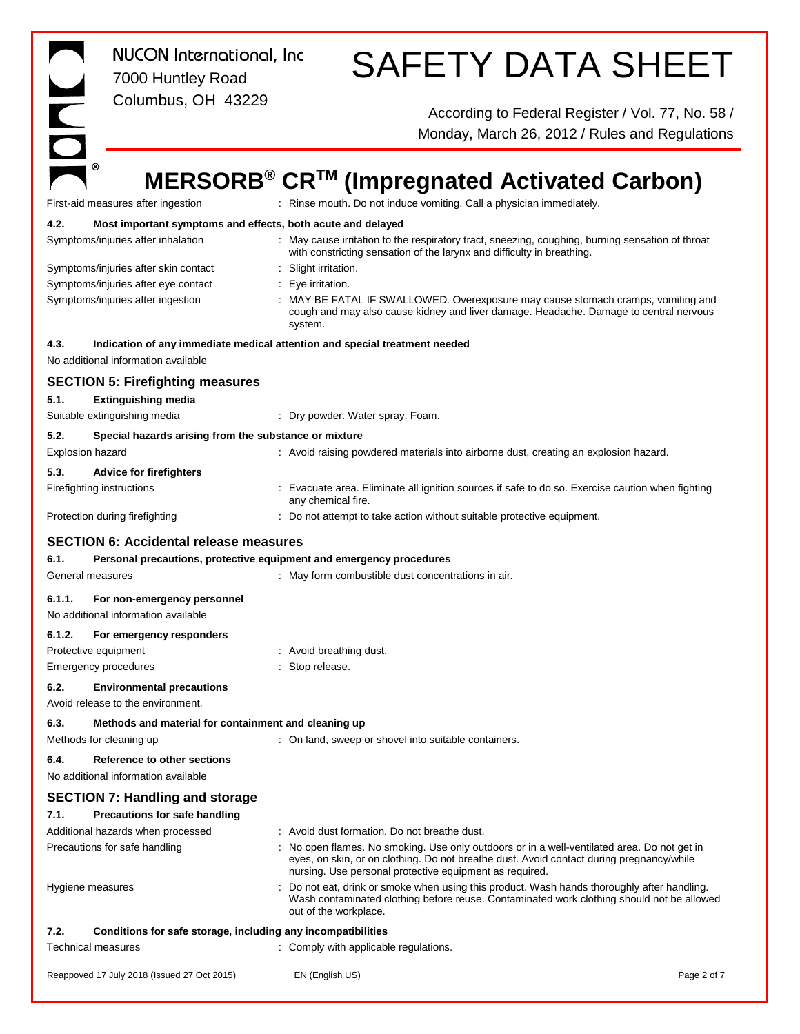|                                                     | NUCON International, Inc.<br>7000 Huntley Road                                                    | <b>SAFETY DATA SHEET</b>                                                                                                                                                                                                                           |
|-----------------------------------------------------|---------------------------------------------------------------------------------------------------|----------------------------------------------------------------------------------------------------------------------------------------------------------------------------------------------------------------------------------------------------|
|                                                     | Columbus, OH 43229                                                                                | According to Federal Register / Vol. 77, No. 58 /<br>Monday, March 26, 2012 / Rules and Regulations                                                                                                                                                |
|                                                     |                                                                                                   |                                                                                                                                                                                                                                                    |
|                                                     |                                                                                                   | MERSORB <sup>®</sup> CR <sup>™</sup> (Impregnated Activated Carbon)                                                                                                                                                                                |
|                                                     | First-aid measures after ingestion                                                                | : Rinse mouth. Do not induce vomiting. Call a physician immediately.                                                                                                                                                                               |
| 4.2.                                                | Most important symptoms and effects, both acute and delayed<br>Symptoms/injuries after inhalation | : May cause irritation to the respiratory tract, sneezing, coughing, burning sensation of throat                                                                                                                                                   |
|                                                     | Symptoms/injuries after skin contact                                                              | with constricting sensation of the larynx and difficulty in breathing.<br>: Slight irritation.                                                                                                                                                     |
|                                                     | Symptoms/injuries after eye contact<br>Symptoms/injuries after ingestion                          | : Eye irritation.<br>: MAY BE FATAL IF SWALLOWED. Overexposure may cause stomach cramps, vomiting and<br>cough and may also cause kidney and liver damage. Headache. Damage to central nervous<br>system.                                          |
| 4.3.                                                | No additional information available                                                               | Indication of any immediate medical attention and special treatment needed                                                                                                                                                                         |
|                                                     | <b>SECTION 5: Firefighting measures</b>                                                           |                                                                                                                                                                                                                                                    |
| 5.1.                                                | <b>Extinguishing media</b>                                                                        |                                                                                                                                                                                                                                                    |
|                                                     | Suitable extinguishing media                                                                      | : Dry powder. Water spray. Foam.                                                                                                                                                                                                                   |
| 5.2.<br>Explosion hazard                            | Special hazards arising from the substance or mixture                                             | : Avoid raising powdered materials into airborne dust, creating an explosion hazard.                                                                                                                                                               |
| 5.3.                                                | <b>Advice for firefighters</b>                                                                    |                                                                                                                                                                                                                                                    |
| Firefighting instructions                           |                                                                                                   | : Evacuate area. Eliminate all ignition sources if safe to do so. Exercise caution when fighting<br>any chemical fire.                                                                                                                             |
|                                                     | Protection during firefighting                                                                    | : Do not attempt to take action without suitable protective equipment.                                                                                                                                                                             |
|                                                     | <b>SECTION 6: Accidental release measures</b>                                                     |                                                                                                                                                                                                                                                    |
| 6.1.                                                | Personal precautions, protective equipment and emergency procedures                               |                                                                                                                                                                                                                                                    |
| General measures                                    |                                                                                                   | : May form combustible dust concentrations in air.                                                                                                                                                                                                 |
| 6.1.1.                                              | For non-emergency personnel<br>No additional information available                                |                                                                                                                                                                                                                                                    |
| 6.1.2.                                              | For emergency responders                                                                          |                                                                                                                                                                                                                                                    |
| Protective equipment<br><b>Emergency procedures</b> |                                                                                                   | : Avoid breathing dust.<br>Stop release.                                                                                                                                                                                                           |
| 6.2.                                                | <b>Environmental precautions</b>                                                                  |                                                                                                                                                                                                                                                    |
|                                                     | Avoid release to the environment.                                                                 |                                                                                                                                                                                                                                                    |
| 6.3.<br>Methods for cleaning up                     | Methods and material for containment and cleaning up                                              | : On land, sweep or shovel into suitable containers.                                                                                                                                                                                               |
| 6.4.                                                | Reference to other sections<br>No additional information available                                |                                                                                                                                                                                                                                                    |
|                                                     | <b>SECTION 7: Handling and storage</b>                                                            |                                                                                                                                                                                                                                                    |
| 7.1.                                                | Precautions for safe handling                                                                     |                                                                                                                                                                                                                                                    |
|                                                     | Additional hazards when processed                                                                 | : Avoid dust formation. Do not breathe dust.                                                                                                                                                                                                       |
|                                                     | Precautions for safe handling                                                                     | : No open flames. No smoking. Use only outdoors or in a well-ventilated area. Do not get in<br>eyes, on skin, or on clothing. Do not breathe dust. Avoid contact during pregnancy/while<br>nursing. Use personal protective equipment as required. |
| Hygiene measures                                    |                                                                                                   | Do not eat, drink or smoke when using this product. Wash hands thoroughly after handling.<br>Wash contaminated clothing before reuse. Contaminated work clothing should not be allowed<br>out of the workplace.                                    |
| 7.2.                                                | Conditions for safe storage, including any incompatibilities                                      |                                                                                                                                                                                                                                                    |
| <b>Technical measures</b>                           |                                                                                                   | : Comply with applicable regulations.                                                                                                                                                                                                              |
|                                                     | Reappoved 17 July 2018 (Issued 27 Oct 2015)                                                       | EN (English US)<br>Page 2 of 7                                                                                                                                                                                                                     |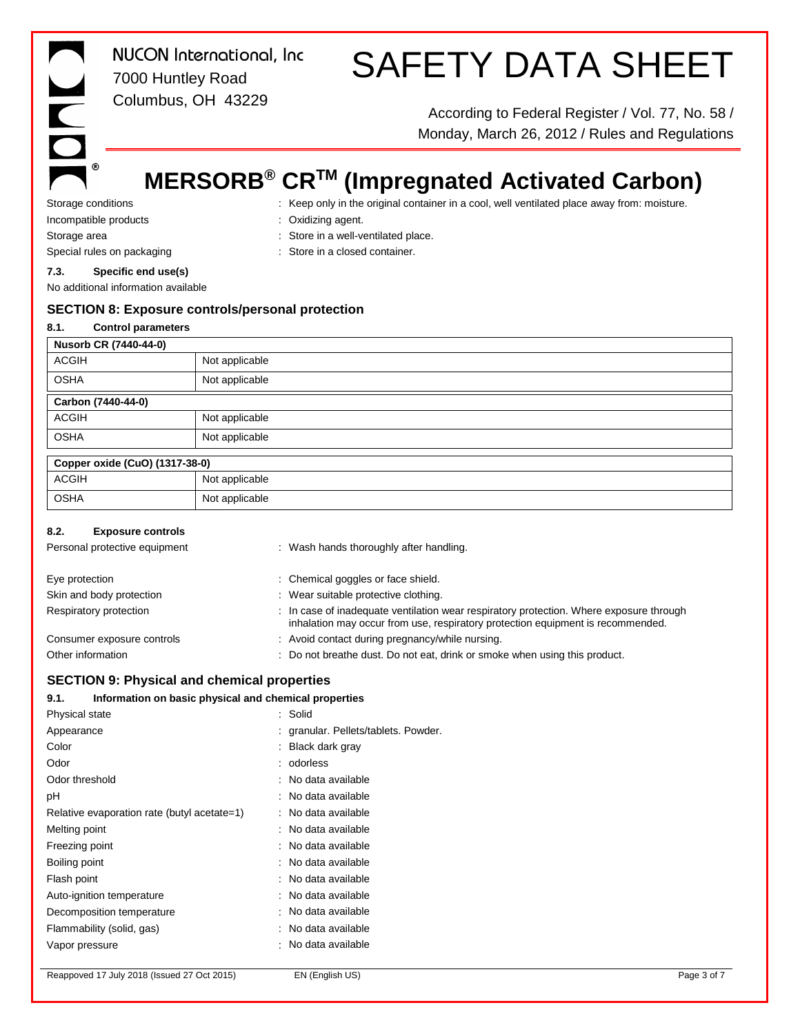$^{\circ}$ 

*NUCON International, Inc* 7000 Huntley Road Columbus, OH 43229

# SAFETY DATA SHEET

According to Federal Register / Vol. 77, No. 58 / Monday, March 26, 2012 / Rules and Regulations

# **MERSORB® CRTM (Impregnated Activated Carbon)**

Storage conditions **interpret only in the original container in a cool, well ventilated place away from: moisture.** Incompatible products : Oxidizing agent.

Storage area  $\qquad \qquad :$  Store in a well-ventilated place.

- Special rules on packaging **in the container** : Store in a closed container.
- **7.3. Specific end use(s)**

No additional information available

# **SECTION 8: Exposure controls/personal protection**

| 8.1.         | <b>Control parameters</b>      |                |
|--------------|--------------------------------|----------------|
|              | Nusorb CR (7440-44-0)          |                |
| <b>ACGIH</b> |                                | Not applicable |
| <b>OSHA</b>  |                                | Not applicable |
|              | Carbon (7440-44-0)             |                |
| <b>ACGIH</b> |                                | Not applicable |
| <b>OSHA</b>  |                                | Not applicable |
|              | Copper oxide (CuO) (1317-38-0) |                |
| <b>ACGIH</b> |                                | Not applicable |
| <b>OSHA</b>  |                                | Not applicable |

# **8.2. Exposure controls**

| Personal protective equipment | : Wash hands thoroughly after handling.                                                                                                                                    |
|-------------------------------|----------------------------------------------------------------------------------------------------------------------------------------------------------------------------|
| Eye protection                | : Chemical goggles or face shield.                                                                                                                                         |
| Skin and body protection      | : Wear suitable protective clothing.                                                                                                                                       |
| Respiratory protection        | : In case of inadequate ventilation wear respiratory protection. Where exposure through<br>inhalation may occur from use, respiratory protection equipment is recommended. |
| Consumer exposure controls    | : Avoid contact during pregnancy/while nursing.                                                                                                                            |
| Other information             | : Do not breathe dust. Do not eat, drink or smoke when using this product.                                                                                                 |

# **SECTION 9: Physical and chemical properties**

# **9.1. Information on basic physical and chemical properties**

| <b>Physical state</b>                       | : Solid                              |
|---------------------------------------------|--------------------------------------|
| Appearance                                  | : granular. Pellets/tablets. Powder. |
| Color                                       | : Black dark gray                    |
| Odor                                        | : odorless                           |
| Odor threshold                              | : No data available                  |
| рH                                          | : No data available                  |
| Relative evaporation rate (butyl acetate=1) | : No data available                  |
| Melting point                               | : No data available                  |
| Freezing point                              | : No data available                  |
| Boiling point                               | : No data available                  |
| Flash point                                 | : No data available                  |
| Auto-ignition temperature                   | : No data available                  |
| Decomposition temperature                   | : No data available                  |
| Flammability (solid, gas)                   | : No data available                  |
| Vapor pressure                              | : No data available                  |
|                                             |                                      |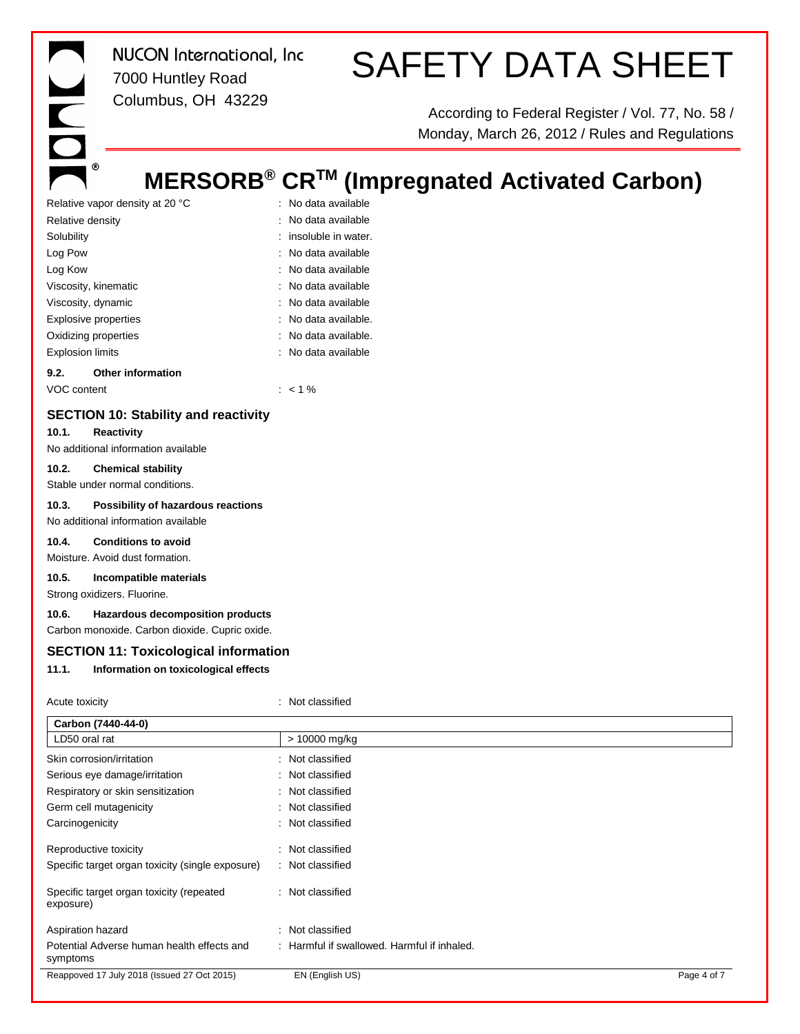# SAFETY DATA SHEET

According to Federal Register / Vol. 77, No. 58 / Monday, March 26, 2012 / Rules and Regulations

# **MERSORB® CRTM (Impregnated Activated Carbon)**

| 9.2.                            | <b>Other information</b> |  |                         |
|---------------------------------|--------------------------|--|-------------------------|
| <b>Explosion limits</b>         |                          |  | : No data available     |
| Oxidizing properties            |                          |  | : No data available.    |
|                                 | Explosive properties     |  | : No data available.    |
| Viscosity, dynamic              |                          |  | : No data available     |
|                                 | Viscosity, kinematic     |  | : No data available     |
| Log Kow                         |                          |  | : No data available     |
| Log Pow                         |                          |  | : No data available     |
| Solubility                      |                          |  | $:$ insoluble in water. |
| Relative density                |                          |  | : No data available     |
| Relative vapor density at 20 °C |                          |  | : No data available     |

VOC content : < 1 %

# **SECTION 10: Stability and reactivity**

#### **10.1. Reactivity**

No additional information available

#### **10.2. Chemical stability**

Stable under normal conditions.

#### **10.3. Possibility of hazardous reactions**

No additional information available

# **10.4. Conditions to avoid**

Moisture. Avoid dust formation.

# **10.5. Incompatible materials**

Strong oxidizers. Fluorine.

## **10.6. Hazardous decomposition products**

Carbon monoxide. Carbon dioxide. Cupric oxide.

# **SECTION 11: Toxicological information**

# **11.1. Information on toxicological effects**

| Acute toxicity                                         | : Not classified                            |             |
|--------------------------------------------------------|---------------------------------------------|-------------|
| Carbon (7440-44-0)                                     |                                             |             |
| LD50 oral rat                                          | > 10000 mg/kg                               |             |
| Skin corrosion/irritation                              | : Not classified                            |             |
| Serious eye damage/irritation                          | : Not classified                            |             |
| Respiratory or skin sensitization                      | : Not classified                            |             |
| Germ cell mutagenicity                                 | : Not classified                            |             |
| Carcinogenicity                                        | : Not classified                            |             |
| Reproductive toxicity                                  | : Not classified                            |             |
| Specific target organ toxicity (single exposure)       | : Not classified                            |             |
| Specific target organ toxicity (repeated<br>exposure)  | : Not classified                            |             |
| Aspiration hazard                                      | : Not classified                            |             |
| Potential Adverse human health effects and<br>symptoms | : Harmful if swallowed. Harmful if inhaled. |             |
| Reappoved 17 July 2018 (Issued 27 Oct 2015)            | EN (English US)                             | Page 4 of 7 |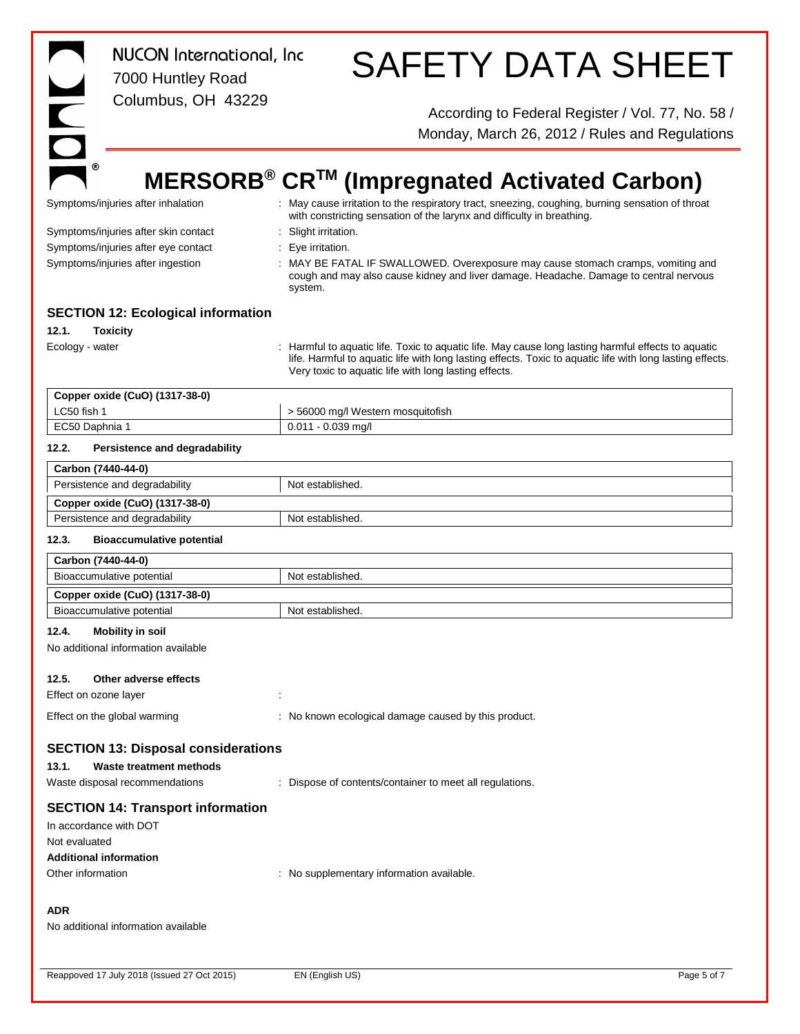|                                                    | <b>NUCON</b> International, Inc<br>7000 Huntley Road                     | <b>SAFETY DATA SHEET</b>                                                                                                                                                                                                                                                |
|----------------------------------------------------|--------------------------------------------------------------------------|-------------------------------------------------------------------------------------------------------------------------------------------------------------------------------------------------------------------------------------------------------------------------|
| $\overline{\phantom{0}}$                           | Columbus, OH 43229                                                       | According to Federal Register / Vol. 77, No. 58 /<br>Monday, March 26, 2012 / Rules and Regulations                                                                                                                                                                     |
|                                                    |                                                                          |                                                                                                                                                                                                                                                                         |
|                                                    |                                                                          | MERSORB® CR™ (Impregnated Activated Carbon)                                                                                                                                                                                                                             |
|                                                    | Symptoms/injuries after inhalation                                       | : May cause irritation to the respiratory tract, sneezing, coughing, burning sensation of throat<br>with constricting sensation of the larynx and difficulty in breathing.                                                                                              |
|                                                    | Symptoms/injuries after skin contact                                     | : Slight irritation.                                                                                                                                                                                                                                                    |
|                                                    | Symptoms/injuries after eye contact<br>Symptoms/injuries after ingestion | Eye irritation.<br>÷.<br>: MAY BE FATAL IF SWALLOWED. Overexposure may cause stomach cramps, vomiting and<br>cough and may also cause kidney and liver damage. Headache. Damage to central nervous<br>system.                                                           |
|                                                    | <b>SECTION 12: Ecological information</b>                                |                                                                                                                                                                                                                                                                         |
| 12.1.                                              | <b>Toxicity</b>                                                          |                                                                                                                                                                                                                                                                         |
| Ecology - water                                    |                                                                          | Harmful to aquatic life. Toxic to aquatic life. May cause long lasting harmful effects to aquatic<br>life. Harmful to aquatic life with long lasting effects. Toxic to aquatic life with long lasting effects.<br>Very toxic to aquatic life with long lasting effects. |
|                                                    | Copper oxide (CuO) (1317-38-0)                                           |                                                                                                                                                                                                                                                                         |
| LC50 fish 1<br>EC50 Daphnia 1                      |                                                                          | > 56000 mg/l Western mosquitofish<br>$0.011 - 0.039$ mg/l                                                                                                                                                                                                               |
| 12.2.                                              | Persistence and degradability                                            |                                                                                                                                                                                                                                                                         |
| Carbon (7440-44-0)                                 |                                                                          |                                                                                                                                                                                                                                                                         |
|                                                    | Persistence and degradability                                            | Not established.                                                                                                                                                                                                                                                        |
|                                                    | Copper oxide (CuO) (1317-38-0)                                           |                                                                                                                                                                                                                                                                         |
|                                                    | Persistence and degradability                                            | Not established.                                                                                                                                                                                                                                                        |
| 12.3.                                              | <b>Bioaccumulative potential</b>                                         |                                                                                                                                                                                                                                                                         |
| Carbon (7440-44-0)                                 |                                                                          |                                                                                                                                                                                                                                                                         |
|                                                    | Bioaccumulative potential                                                | Not established.                                                                                                                                                                                                                                                        |
|                                                    | Copper oxide (CuO) (1317-38-0)<br>Bioaccumulative potential              | Not established.                                                                                                                                                                                                                                                        |
| 12.4.                                              | <b>Mobility in soil</b>                                                  |                                                                                                                                                                                                                                                                         |
|                                                    | No additional information available                                      |                                                                                                                                                                                                                                                                         |
| 12.5.<br>Effect on ozone layer                     | Other adverse effects                                                    |                                                                                                                                                                                                                                                                         |
|                                                    | Effect on the global warming                                             | : No known ecological damage caused by this product.                                                                                                                                                                                                                    |
|                                                    | <b>SECTION 13: Disposal considerations</b>                               |                                                                                                                                                                                                                                                                         |
| 13.1.                                              | <b>Waste treatment methods</b>                                           |                                                                                                                                                                                                                                                                         |
|                                                    | Waste disposal recommendations                                           | Dispose of contents/container to meet all regulations.                                                                                                                                                                                                                  |
|                                                    | <b>SECTION 14: Transport information</b>                                 |                                                                                                                                                                                                                                                                         |
| In accordance with DOT                             |                                                                          |                                                                                                                                                                                                                                                                         |
| Not evaluated                                      |                                                                          |                                                                                                                                                                                                                                                                         |
| <b>Additional information</b><br>Other information |                                                                          | : No supplementary information available.                                                                                                                                                                                                                               |
| ADR                                                | No additional information available                                      |                                                                                                                                                                                                                                                                         |

Reappoved 17 July 2018 (Issued 27 Oct 2015) EN (English US) EN 1989 5 of 7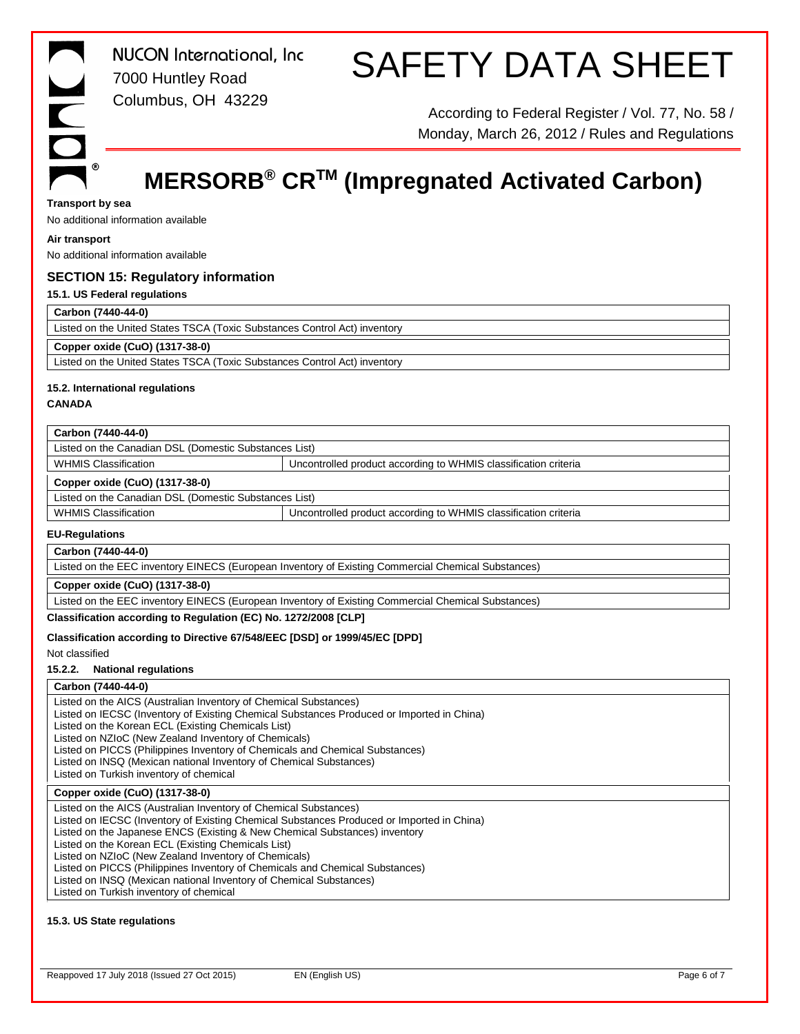# SAFETY DATA SHEET

According to Federal Register / Vol. 77, No. 58 / Monday, March 26, 2012 / Rules and Regulations

# **MERSORB® CRTM (Impregnated Activated Carbon)**

### **Transport by sea**

No additional information available

## **Air transport**

No additional information available

# **SECTION 15: Regulatory information**

**15.1. US Federal regulations**

# **Carbon (7440-44-0)**

Listed on the United States TSCA (Toxic Substances Control Act) inventory

# **Copper oxide (CuO) (1317-38-0)**

Listed on the United States TSCA (Toxic Substances Control Act) inventory

# **15.2. International regulations**

**CANADA**

# **Carbon (7440-44-0)**

Listed on the Canadian DSL (Domestic Substances List)

WHMIS Classification **VERGON CONTROLLED ACCOLLED UNCONTROLLED VERGONAL U**ncontrolled product according to WHMIS classification criteria

# **Copper oxide (CuO) (1317-38-0)**

Listed on the Canadian DSL (Domestic Substances List)

WHMIS Classification **VELACTION Classification Uncontrolled product according to WHMIS classification criteria** 

## **EU-Regulations**

**Carbon (7440-44-0)**

Listed on the EEC inventory EINECS (European Inventory of Existing Commercial Chemical Substances)

**Copper oxide (CuO) (1317-38-0)**

Listed on the EEC inventory EINECS (European Inventory of Existing Commercial Chemical Substances)

**Classification according to Regulation (EC) No. 1272/2008 [CLP]**

# **Classification according to Directive 67/548/EEC [DSD] or 1999/45/EC [DPD]**

Not classified

 $\overline{\phantom{a}}$ 

# **15.2.2. National regulations**

### **Carbon (7440-44-0)**

Listed on the AICS (Australian Inventory of Chemical Substances) Listed on IECSC (Inventory of Existing Chemical Substances Produced or Imported in China) Listed on the Korean ECL (Existing Chemicals List) Listed on NZIoC (New Zealand Inventory of Chemicals) Listed on PICCS (Philippines Inventory of Chemicals and Chemical Substances) Listed on INSQ (Mexican national Inventory of Chemical Substances) Listed on Turkish inventory of chemical

# **Copper oxide (CuO) (1317-38-0)**

Listed on the AICS (Australian Inventory of Chemical Substances) Listed on IECSC (Inventory of Existing Chemical Substances Produced or Imported in China) Listed on the Japanese ENCS (Existing & New Chemical Substances) inventory Listed on the Korean ECL (Existing Chemicals List) Listed on NZIoC (New Zealand Inventory of Chemicals) Listed on PICCS (Philippines Inventory of Chemicals and Chemical Substances) Listed on INSQ (Mexican national Inventory of Chemical Substances) Listed on Turkish inventory of chemical

### **15.3. US State regulations**